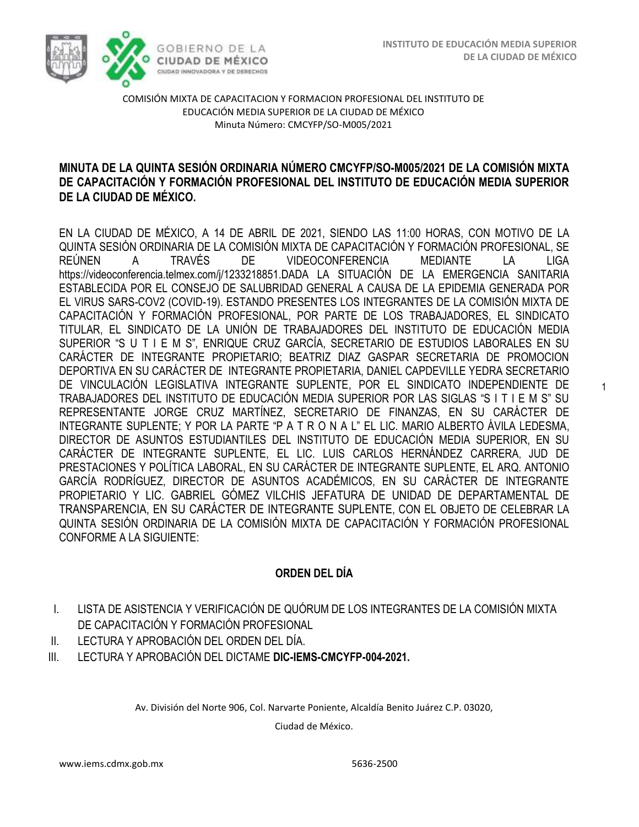1



COMISIÓN MIXTA DE CAPACITACION Y FORMACION PROFESIONAL DEL INSTITUTO DE EDUCACIÓN MEDIA SUPERIOR DE LA CIUDAD DE MÉXICO Minuta Número: CMCYFP/SO-M005/2021

### **MINUTA DE LA QUINTA SESIÓN ORDINARIA NÚMERO CMCYFP/SO-M005/2021 DE LA COMISIÓN MIXTA DE CAPACITACIÓN Y FORMACIÓN PROFESIONAL DEL INSTITUTO DE EDUCACIÓN MEDIA SUPERIOR DE LA CIUDAD DE MÉXICO.**

EN LA CIUDAD DE MÉXICO, A 14 DE ABRIL DE 2021, SIENDO LAS 11:00 HORAS, CON MOTIVO DE LA QUINTA SESIÓN ORDINARIA DE LA COMISIÓN MIXTA DE CAPACITACIÓN Y FORMACIÓN PROFESIONAL, SE REÚNEN A TRAVÉS DE VIDEOCONFERENCIA MEDIANTE LA LIGA https://videoconferencia.telmex.com/j/1233218851.DADA LA SITUACIÓN DE LA EMERGENCIA SANITARIA ESTABLECIDA POR EL CONSEJO DE SALUBRIDAD GENERAL A CAUSA DE LA EPIDEMIA GENERADA POR EL VIRUS SARS-COV2 (COVID-19). ESTANDO PRESENTES LOS INTEGRANTES DE LA COMISIÓN MIXTA DE CAPACITACIÓN Y FORMACIÓN PROFESIONAL, POR PARTE DE LOS TRABAJADORES, EL SINDICATO TITULAR, EL SINDICATO DE LA UNIÓN DE TRABAJADORES DEL INSTITUTO DE EDUCACIÓN MEDIA SUPERIOR "S U T I E M S", ENRIQUE CRUZ GARCÍA, SECRETARIO DE ESTUDIOS LABORALES EN SU CARÁCTER DE INTEGRANTE PROPIETARIO; BEATRIZ DIAZ GASPAR SECRETARIA DE PROMOCION DEPORTIVA EN SU CARÁCTER DE INTEGRANTE PROPIETARIA, DANIEL CAPDEVILLE YEDRA SECRETARIO DE VINCULACIÓN LEGISLATIVA INTEGRANTE SUPLENTE, POR EL SINDICATO INDEPENDIENTE DE TRABAJADORES DEL INSTITUTO DE EDUCACIÓN MEDIA SUPERIOR POR LAS SIGLAS "S I T I E M S" SU REPRESENTANTE JORGE CRUZ MARTÍNEZ, SECRETARIO DE FINANZAS, EN SU CARÁCTER DE INTEGRANTE SUPLENTE; Y POR LA PARTE "P A T R O N A L" EL LIC. MARIO ALBERTO ÁVILA LEDESMA, DIRECTOR DE ASUNTOS ESTUDIANTILES DEL INSTITUTO DE EDUCACIÓN MEDIA SUPERIOR, EN SU CARÁCTER DE INTEGRANTE SUPLENTE, EL LIC. LUIS CARLOS HERNÁNDEZ CARRERA, JUD DE PRESTACIONES Y POLÍTICA LABORAL, EN SU CARÁCTER DE INTEGRANTE SUPLENTE, EL ARQ. ANTONIO GARCÍA RODRÍGUEZ, DIRECTOR DE ASUNTOS ACADÉMICOS, EN SU CARÁCTER DE INTEGRANTE PROPIETARIO Y LIC. GABRIEL GÓMEZ VILCHIS JEFATURA DE UNIDAD DE DEPARTAMENTAL DE TRANSPARENCIA, EN SU CARÁCTER DE INTEGRANTE SUPLENTE, CON EL OBJETO DE CELEBRAR LA QUINTA SESIÓN ORDINARIA DE LA COMISIÓN MIXTA DE CAPACITACIÓN Y FORMACIÓN PROFESIONAL CONFORME A LA SIGUIENTE:

# **ORDEN DEL DÍA**

- I. LISTA DE ASISTENCIA Y VERIFICACIÓN DE QUÓRUM DE LOS INTEGRANTES DE LA COMISIÓN MIXTA DE CAPACITACIÓN Y FORMACIÓN PROFESIONAL
- II. LECTURA Y APROBACIÓN DEL ORDEN DEL DÍA.
- III. LECTURA Y APROBACIÓN DEL DICTAME **DIC-IEMS-CMCYFP-004-2021.**

Av. División del Norte 906, Col. Narvarte Poniente, Alcaldía Benito Juárez C.P. 03020,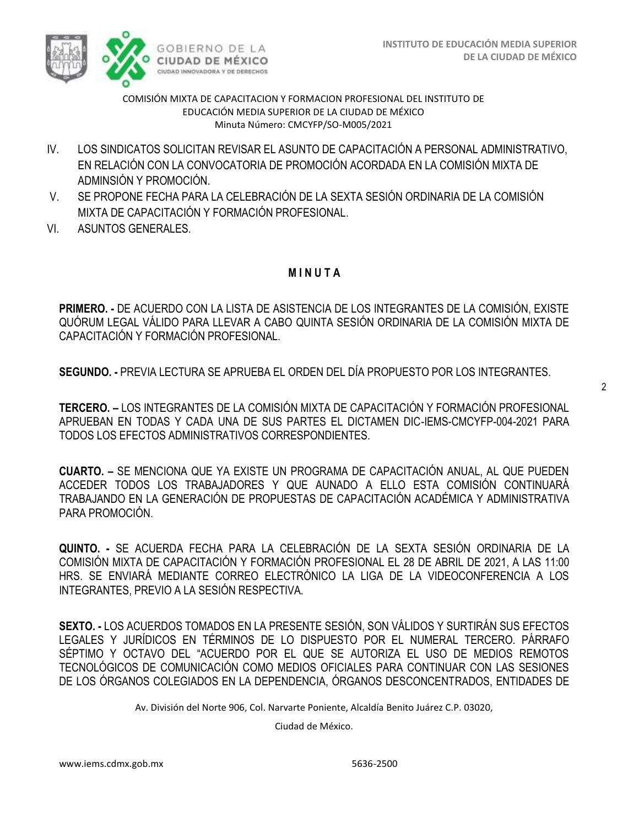

- IV. LOS SINDICATOS SOLICITAN REVISAR EL ASUNTO DE CAPACITACIÓN A PERSONAL ADMINISTRATIVO, EN RELACIÓN CON LA CONVOCATORIA DE PROMOCIÓN ACORDADA EN LA COMISIÓN MIXTA DE ADMINSIÓN Y PROMOCIÓN.
- V. SE PROPONE FECHA PARA LA CELEBRACIÓN DE LA SEXTA SESIÓN ORDINARIA DE LA COMISIÓN MIXTA DE CAPACITACIÓN Y FORMACIÓN PROFESIONAL.
- VI. ASUNTOS GENERALES.

## **M I N U T A**

**PRIMERO. -** DE ACUERDO CON LA LISTA DE ASISTENCIA DE LOS INTEGRANTES DE LA COMISIÓN, EXISTE QUÓRUM LEGAL VÁLIDO PARA LLEVAR A CABO QUINTA SESIÓN ORDINARIA DE LA COMISIÓN MIXTA DE CAPACITACIÓN Y FORMACIÓN PROFESIONAL.

**SEGUNDO. -** PREVIA LECTURA SE APRUEBA EL ORDEN DEL DÍA PROPUESTO POR LOS INTEGRANTES.

**TERCERO. –** LOS INTEGRANTES DE LA COMISIÓN MIXTA DE CAPACITACIÓN Y FORMACIÓN PROFESIONAL APRUEBAN EN TODAS Y CADA UNA DE SUS PARTES EL DICTAMEN DIC-IEMS-CMCYFP-004-2021 PARA TODOS LOS EFECTOS ADMINISTRATIVOS CORRESPONDIENTES.

**CUARTO. –** SE MENCIONA QUE YA EXISTE UN PROGRAMA DE CAPACITACIÓN ANUAL, AL QUE PUEDEN ACCEDER TODOS LOS TRABAJADORES Y QUE AUNADO A ELLO ESTA COMISIÓN CONTINUARÁ TRABAJANDO EN LA GENERACIÓN DE PROPUESTAS DE CAPACITACIÓN ACADÉMICA Y ADMINISTRATIVA PARA PROMOCIÓN.

**QUINTO. -** SE ACUERDA FECHA PARA LA CELEBRACIÓN DE LA SEXTA SESIÓN ORDINARIA DE LA COMISIÓN MIXTA DE CAPACITACIÓN Y FORMACIÓN PROFESIONAL EL 28 DE ABRIL DE 2021, A LAS 11:00 HRS. SE ENVIARÁ MEDIANTE CORREO ELECTRÓNICO LA LIGA DE LA VIDEOCONFERENCIA A LOS INTEGRANTES, PREVIO A LA SESIÓN RESPECTIVA.

**SEXTO. -** LOS ACUERDOS TOMADOS EN LA PRESENTE SESIÓN, SON VÁLIDOS Y SURTIRÁN SUS EFECTOS LEGALES Y JURÍDICOS EN TÉRMINOS DE LO DISPUESTO POR EL NUMERAL TERCERO. PÁRRAFO SÉPTIMO Y OCTAVO DEL "ACUERDO POR EL QUE SE AUTORIZA EL USO DE MEDIOS REMOTOS TECNOLÓGICOS DE COMUNICACIÓN COMO MEDIOS OFICIALES PARA CONTINUAR CON LAS SESIONES DE LOS ÓRGANOS COLEGIADOS EN LA DEPENDENCIA, ÓRGANOS DESCONCENTRADOS, ENTIDADES DE

Av. División del Norte 906, Col. Narvarte Poniente, Alcaldía Benito Juárez C.P. 03020,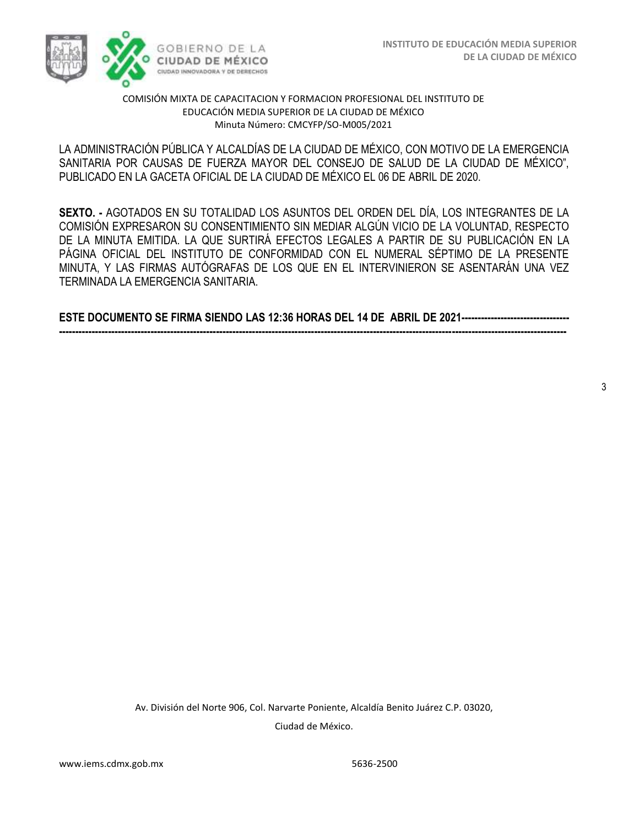

LA ADMINISTRACIÓN PÚBLICA Y ALCALDÍAS DE LA CIUDAD DE MÉXICO, CON MOTIVO DE LA EMERGENCIA SANITARIA POR CAUSAS DE FUERZA MAYOR DEL CONSEJO DE SALUD DE LA CIUDAD DE MÉXICO", PUBLICADO EN LA GACETA OFICIAL DE LA CIUDAD DE MÉXICO EL 06 DE ABRIL DE 2020.

**SEXTO. -** AGOTADOS EN SU TOTALIDAD LOS ASUNTOS DEL ORDEN DEL DÍA, LOS INTEGRANTES DE LA COMISIÓN EXPRESARON SU CONSENTIMIENTO SIN MEDIAR ALGÚN VICIO DE LA VOLUNTAD, RESPECTO DE LA MINUTA EMITIDA. LA QUE SURTIRÁ EFECTOS LEGALES A PARTIR DE SU PUBLICACIÓN EN LA PÁGINA OFICIAL DEL INSTITUTO DE CONFORMIDAD CON EL NUMERAL SÉPTIMO DE LA PRESENTE MINUTA, Y LAS FIRMAS AUTÓGRAFAS DE LOS QUE EN EL INTERVINIERON SE ASENTARÁN UNA VEZ TERMINADA LA EMERGENCIA SANITARIA.

**ESTE DOCUMENTO SE FIRMA SIENDO LAS 12:36 HORAS DEL 14 DE ABRIL DE 2021--------------------------------- -----------------------------------------------------------------------------------------------------------------------------------------------------------**

Av. División del Norte 906, Col. Narvarte Poniente, Alcaldía Benito Juárez C.P. 03020, Ciudad de México.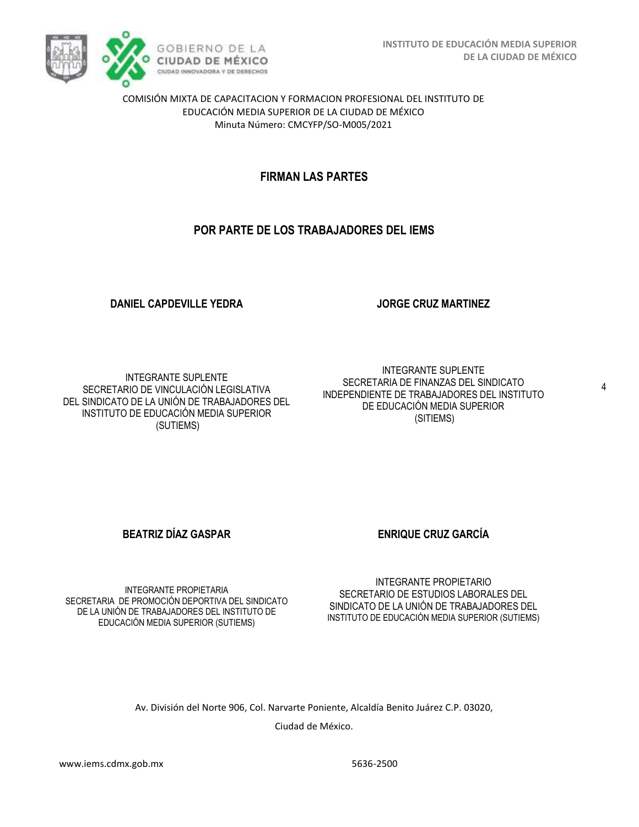

# **FIRMAN LAS PARTES**

# **POR PARTE DE LOS TRABAJADORES DEL IEMS**

### **DANIEL CAPDEVILLE YEDRA**

INTEGRANTE SUPLENTE SECRETARIO DE VINCULACIÓN LEGISLATIVA DEL SINDICATO DE LA UNIÓN DE TRABAJADORES DEL INSTITUTO DE EDUCACIÓN MEDIA SUPERIOR (SUTIEMS)

INTEGRANTE SUPLENTE SECRETARIA DE FINANZAS DEL SINDICATO INDEPENDIENTE DE TRABAJADORES DEL INSTITUTO DE EDUCACIÓN MEDIA SUPERIOR (SITIEMS)

**JORGE CRUZ MARTINEZ**

**BEATRIZ DÍAZ GASPAR ENRIQUE CRUZ GARCÍA** 

INTEGRANTE PROPIETARIA SECRETARIA DE PROMOCIÓN DEPORTIVA DEL SINDICATO DE LA UNIÓN DE TRABAJADORES DEL INSTITUTO DE EDUCACIÓN MEDIA SUPERIOR (SUTIEMS)

INTEGRANTE PROPIETARIO SECRETARIO DE ESTUDIOS LABORALES DEL SINDICATO DE LA UNIÓN DE TRABAJADORES DEL INSTITUTO DE EDUCACIÓN MEDIA SUPERIOR (SUTIEMS)

Av. División del Norte 906, Col. Narvarte Poniente, Alcaldía Benito Juárez C.P. 03020,